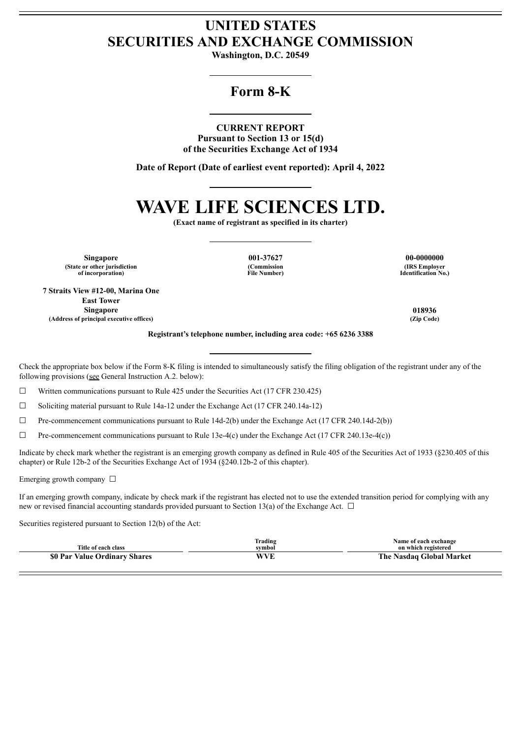## **UNITED STATES SECURITIES AND EXCHANGE COMMISSION**

**Washington, D.C. 20549**

## **Form 8-K**

#### **CURRENT REPORT**

**Pursuant to Section 13 or 15(d) of the Securities Exchange Act of 1934**

**Date of Report (Date of earliest event reported): April 4, 2022**

# **WAVE LIFE SCIENCES LTD.**

**(Exact name of registrant as specified in its charter)**

**Singapore 001-37627 00-0000000 (State or other jurisdiction of incorporation)**

**7 Straits View #12-00, Marina One East Tower Singapore 018936 (Address of principal executive offices) (Zip Code)**

**(Commission File Number)**

**(IRS Employer Identification No.)**

**Registrant's telephone number, including area code: +65 6236 3388**

Check the appropriate box below if the Form 8-K filing is intended to simultaneously satisfy the filing obligation of the registrant under any of the following provisions (see General Instruction A.2. below):

 $\Box$  Written communications pursuant to Rule 425 under the Securities Act (17 CFR 230.425)

☐ Soliciting material pursuant to Rule 14a-12 under the Exchange Act (17 CFR 240.14a-12)

 $\Box$  Pre-commencement communications pursuant to Rule 14d-2(b) under the Exchange Act (17 CFR 240.14d-2(b))

 $\Box$  Pre-commencement communications pursuant to Rule 13e-4(c) under the Exchange Act (17 CFR 240.13e-4(c))

Indicate by check mark whether the registrant is an emerging growth company as defined in Rule 405 of the Securities Act of 1933 (§230.405 of this chapter) or Rule 12b-2 of the Securities Exchange Act of 1934 (§240.12b-2 of this chapter).

Emerging growth company  $\Box$ 

If an emerging growth company, indicate by check mark if the registrant has elected not to use the extended transition period for complying with any new or revised financial accounting standards provided pursuant to Section 13(a) of the Exchange Act.  $\Box$ 

Securities registered pursuant to Section 12(b) of the Act:

| Title of each class           | Trading<br>svmbol | Name of each exchange<br>on which registered |
|-------------------------------|-------------------|----------------------------------------------|
| \$0 Par Value Ordinary Shares | WVE               | The Nasdaq Global Market                     |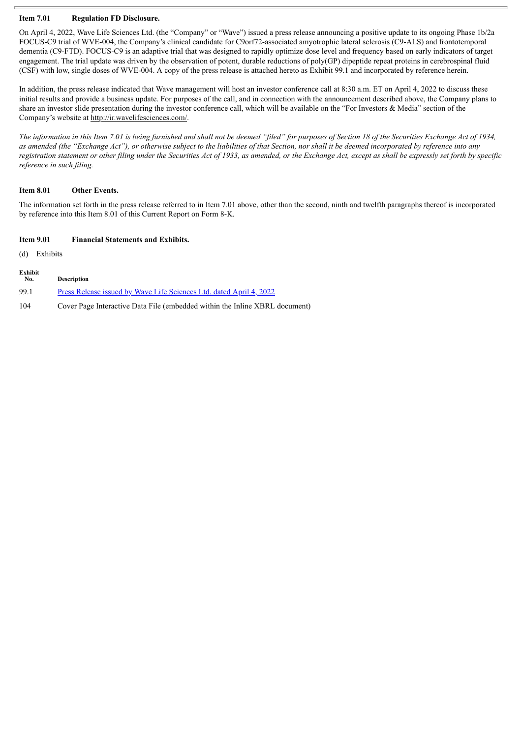#### **Item 7.01 Regulation FD Disclosure.**

On April 4, 2022, Wave Life Sciences Ltd. (the "Company" or "Wave") issued a press release announcing a positive update to its ongoing Phase 1b/2a FOCUS-C9 trial of WVE-004, the Company's clinical candidate for C9orf72-associated amyotrophic lateral sclerosis (C9-ALS) and frontotemporal dementia (C9-FTD). FOCUS-C9 is an adaptive trial that was designed to rapidly optimize dose level and frequency based on early indicators of target engagement. The trial update was driven by the observation of potent, durable reductions of poly(GP) dipeptide repeat proteins in cerebrospinal fluid (CSF) with low, single doses of WVE-004. A copy of the press release is attached hereto as Exhibit 99.1 and incorporated by reference herein.

In addition, the press release indicated that Wave management will host an investor conference call at 8:30 a.m. ET on April 4, 2022 to discuss these initial results and provide a business update. For purposes of the call, and in connection with the announcement described above, the Company plans to share an investor slide presentation during the investor conference call, which will be available on the "For Investors & Media" section of the Company's website at http://ir.wavelifesciences.com/.

The information in this Item 7.01 is being furnished and shall not be deemed "filed" for purposes of Section 18 of the Securities Exchange Act of 1934, as amended (the "Exchange Act"), or otherwise subject to the liabilities of that Section, nor shall it be deemed incorporated by reference into any registration statement or other filing under the Securities Act of 1933, as amended, or the Exchange Act, except as shall be expressly set forth by specific *reference in such filing.*

#### **Item 8.01 Other Events.**

The information set forth in the press release referred to in Item 7.01 above, other than the second, ninth and twelfth paragraphs thereof is incorporated by reference into this Item 8.01 of this Current Report on Form 8-K.

#### **Item 9.01 Financial Statements and Exhibits.**

(d) Exhibits

| Exhibit<br>No. | <b>Description</b>                                                          |
|----------------|-----------------------------------------------------------------------------|
| -99.1          | Press Release issued by Wave Life Sciences Ltd. dated April 4, 2022         |
| 104            | Cover Page Interactive Data File (embedded within the Inline XBRL document) |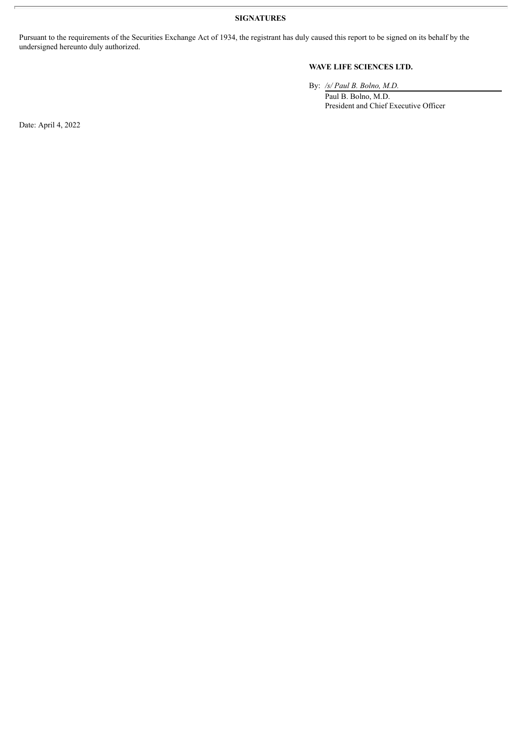**SIGNATURES**

Pursuant to the requirements of the Securities Exchange Act of 1934, the registrant has duly caused this report to be signed on its behalf by the undersigned hereunto duly authorized.

#### **WAVE LIFE SCIENCES LTD.**

By: */s/ Paul B. Bolno, M.D.*

Paul B. Bolno, M.D. President and Chief Executive Officer

Date: April 4, 2022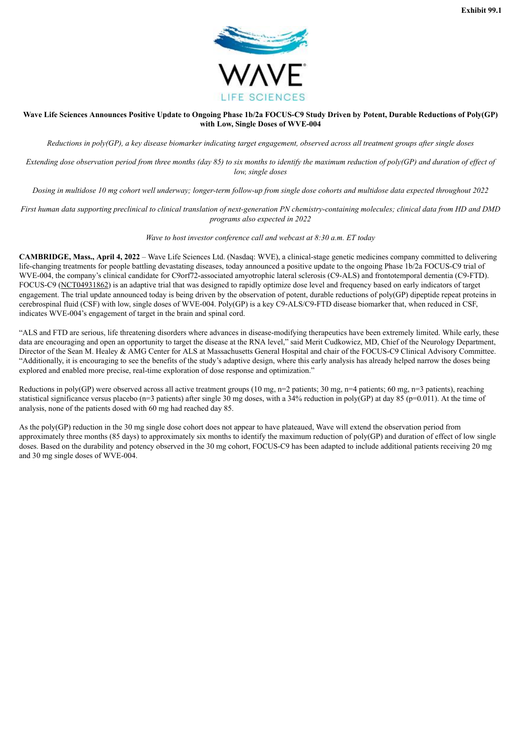

#### <span id="page-3-0"></span>Wave Life Sciences Announces Positive Update to Ongoing Phase 1b/2a FOCUS-C9 Study Driven by Potent, Durable Reductions of Poly(GP) **with Low, Single Doses of WVE-004**

Reductions in poly(GP), a key disease biomarker indicating target engagement, observed across all treatment groups after single doses

Extending dose observation period from three months (day 85) to six months to identify the maximum reduction of poly(GP) and duration of effect of *low, single doses*

Dosing in multidose 10 mg cohort well underway; longer-term follow-up from single dose cohorts and multidose data expected throughout 2022

First human data supporting preclinical to clinical translation of next-generation PN chemistry-containing molecules; clinical data from HD and DMD *programs also expected in 2022*

*Wave to host investor conference call and webcast at 8:30 a.m. ET today*

**CAMBRIDGE, Mass., April 4, 2022** – Wave Life Sciences Ltd. (Nasdaq: WVE), a clinical-stage genetic medicines company committed to delivering life-changing treatments for people battling devastating diseases, today announced a positive update to the ongoing Phase 1b/2a FOCUS-C9 trial of WVE-004, the company's clinical candidate for C9orf72-associated amyotrophic lateral sclerosis (C9-ALS) and frontotemporal dementia (C9-FTD). FOCUS-C9 (NCT04931862) is an adaptive trial that was designed to rapidly optimize dose level and frequency based on early indicators of target engagement. The trial update announced today is being driven by the observation of potent, durable reductions of poly(GP) dipeptide repeat proteins in cerebrospinal fluid (CSF) with low, single doses of WVE-004. Poly(GP) is a key C9-ALS/C9-FTD disease biomarker that, when reduced in CSF, indicates WVE-004's engagement of target in the brain and spinal cord.

"ALS and FTD are serious, life threatening disorders where advances in disease-modifying therapeutics have been extremely limited. While early, these data are encouraging and open an opportunity to target the disease at the RNA level," said Merit Cudkowicz, MD, Chief of the Neurology Department, Director of the Sean M. Healey & AMG Center for ALS at Massachusetts General Hospital and chair of the FOCUS-C9 Clinical Advisory Committee. "Additionally, it is encouraging to see the benefits of the study's adaptive design, where this early analysis has already helped narrow the doses being explored and enabled more precise, real-time exploration of dose response and optimization."

Reductions in poly(GP) were observed across all active treatment groups (10 mg, n=2 patients; 30 mg, n=4 patients; 60 mg, n=3 patients), reaching statistical significance versus placebo (n=3 patients) after single 30 mg doses, with a 34% reduction in poly(GP) at day 85 (p=0.011). At the time of analysis, none of the patients dosed with 60 mg had reached day 85.

As the poly(GP) reduction in the 30 mg single dose cohort does not appear to have plateaued, Wave will extend the observation period from approximately three months (85 days) to approximately six months to identify the maximum reduction of poly(GP) and duration of effect of low single doses. Based on the durability and potency observed in the 30 mg cohort, FOCUS-C9 has been adapted to include additional patients receiving 20 mg and 30 mg single doses of WVE-004.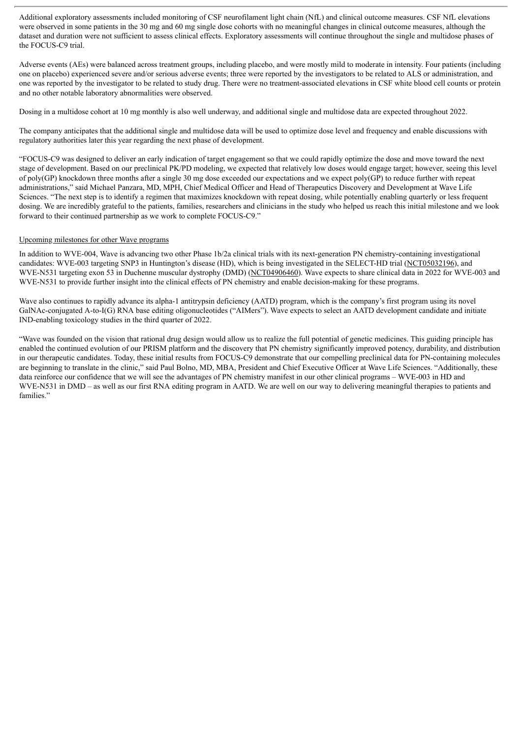Additional exploratory assessments included monitoring of CSF neurofilament light chain (NfL) and clinical outcome measures. CSF NfL elevations were observed in some patients in the 30 mg and 60 mg single dose cohorts with no meaningful changes in clinical outcome measures, although the dataset and duration were not sufficient to assess clinical effects. Exploratory assessments will continue throughout the single and multidose phases of the FOCUS-C9 trial.

Adverse events (AEs) were balanced across treatment groups, including placebo, and were mostly mild to moderate in intensity. Four patients (including one on placebo) experienced severe and/or serious adverse events; three were reported by the investigators to be related to ALS or administration, and one was reported by the investigator to be related to study drug. There were no treatment-associated elevations in CSF white blood cell counts or protein and no other notable laboratory abnormalities were observed.

Dosing in a multidose cohort at 10 mg monthly is also well underway, and additional single and multidose data are expected throughout 2022.

The company anticipates that the additional single and multidose data will be used to optimize dose level and frequency and enable discussions with regulatory authorities later this year regarding the next phase of development.

"FOCUS-C9 was designed to deliver an early indication of target engagement so that we could rapidly optimize the dose and move toward the next stage of development. Based on our preclinical PK/PD modeling, we expected that relatively low doses would engage target; however, seeing this level of poly(GP) knockdown three months after a single 30 mg dose exceeded our expectations and we expect poly(GP) to reduce further with repeat administrations," said Michael Panzara, MD, MPH, Chief Medical Officer and Head of Therapeutics Discovery and Development at Wave Life Sciences. "The next step is to identify a regimen that maximizes knockdown with repeat dosing, while potentially enabling quarterly or less frequent dosing. We are incredibly grateful to the patients, families, researchers and clinicians in the study who helped us reach this initial milestone and we look forward to their continued partnership as we work to complete FOCUS-C9."

#### Upcoming milestones for other Wave programs

In addition to WVE-004, Wave is advancing two other Phase 1b/2a clinical trials with its next-generation PN chemistry-containing investigational candidates: WVE-003 targeting SNP3 in Huntington's disease (HD), which is being investigated in the SELECT-HD trial (NCT05032196), and WVE-N531 targeting exon 53 in Duchenne muscular dystrophy (DMD) (NCT04906460). Wave expects to share clinical data in 2022 for WVE-003 and WVE-N531 to provide further insight into the clinical effects of PN chemistry and enable decision-making for these programs.

Wave also continues to rapidly advance its alpha-1 antitrypsin deficiency (AATD) program, which is the company's first program using its novel GalNAc-conjugated A-to-I(G) RNA base editing oligonucleotides ("AIMers"). Wave expects to select an AATD development candidate and initiate IND-enabling toxicology studies in the third quarter of 2022.

"Wave was founded on the vision that rational drug design would allow us to realize the full potential of genetic medicines. This guiding principle has enabled the continued evolution of our PRISM platform and the discovery that PN chemistry significantly improved potency, durability, and distribution in our therapeutic candidates. Today, these initial results from FOCUS-C9 demonstrate that our compelling preclinical data for PN-containing molecules are beginning to translate in the clinic," said Paul Bolno, MD, MBA, President and Chief Executive Officer at Wave Life Sciences. "Additionally, these data reinforce our confidence that we will see the advantages of PN chemistry manifest in our other clinical programs – WVE-003 in HD and WVE-N531 in DMD – as well as our first RNA editing program in AATD. We are well on our way to delivering meaningful therapies to patients and families."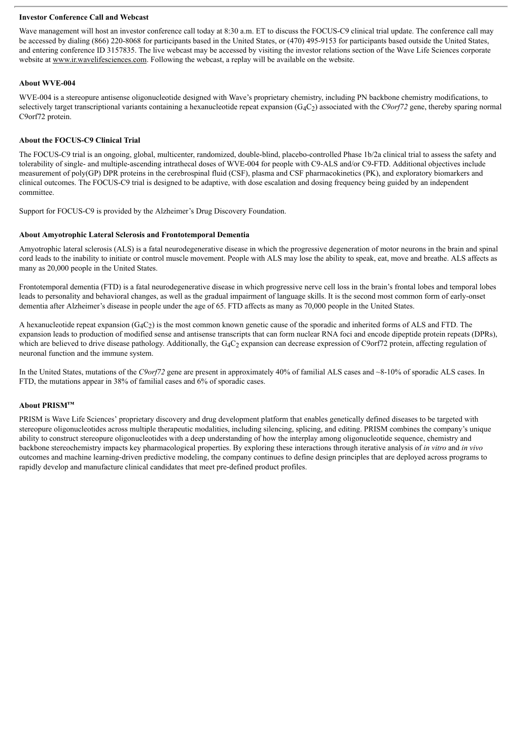#### **Investor Conference Call and Webcast**

Wave management will host an investor conference call today at 8:30 a.m. ET to discuss the FOCUS-C9 clinical trial update. The conference call may be accessed by dialing (866) 220-8068 for participants based in the United States, or (470) 495-9153 for participants based outside the United States, and entering conference ID 3157835. The live webcast may be accessed by visiting the investor relations section of the Wave Life Sciences corporate website at www.ir.wavelifesciences.com. Following the webcast, a replay will be available on the website.

#### **About WVE-004**

WVE-004 is a stereopure antisense oligonucleotide designed with Wave's proprietary chemistry, including PN backbone chemistry modifications, to selectively target transcriptional variants containing a hexanucleotide repeat expansion (G4C2) associated with the *C9orf72* gene, thereby sparing normal C9orf72 protein.

#### **About the FOCUS-C9 Clinical Trial**

The FOCUS-C9 trial is an ongoing, global, multicenter, randomized, double-blind, placebo-controlled Phase 1b/2a clinical trial to assess the safety and tolerability of single- and multiple-ascending intrathecal doses of WVE-004 for people with C9-ALS and/or C9-FTD. Additional objectives include measurement of poly(GP) DPR proteins in the cerebrospinal fluid (CSF), plasma and CSF pharmacokinetics (PK), and exploratory biomarkers and clinical outcomes. The FOCUS-C9 trial is designed to be adaptive, with dose escalation and dosing frequency being guided by an independent committee.

Support for FOCUS-C9 is provided by the Alzheimer's Drug Discovery Foundation.

#### **About Amyotrophic Lateral Sclerosis and Frontotemporal Dementia**

Amyotrophic lateral sclerosis (ALS) is a fatal neurodegenerative disease in which the progressive degeneration of motor neurons in the brain and spinal cord leads to the inability to initiate or control muscle movement. People with ALS may lose the ability to speak, eat, move and breathe. ALS affects as many as 20,000 people in the United States.

Frontotemporal dementia (FTD) is a fatal neurodegenerative disease in which progressive nerve cell loss in the brain's frontal lobes and temporal lobes leads to personality and behavioral changes, as well as the gradual impairment of language skills. It is the second most common form of early-onset dementia after Alzheimer's disease in people under the age of 65. FTD affects as many as 70,000 people in the United States.

A hexanucleotide repeat expansion  $(G_4C_2)$  is the most common known genetic cause of the sporadic and inherited forms of ALS and FTD. The expansion leads to production of modified sense and antisense transcripts that can form nuclear RNA foci and encode dipeptide protein repeats (DPRs), which are believed to drive disease pathology. Additionally, the  $G_4C_2$  expansion can decrease expression of C9orf72 protein, affecting regulation of neuronal function and the immune system.

In the United States, mutations of the *C9orf72* gene are present in approximately 40% of familial ALS cases and ~8-10% of sporadic ALS cases. In FTD, the mutations appear in 38% of familial cases and 6% of sporadic cases.

#### **About PRISM™**

PRISM is Wave Life Sciences' proprietary discovery and drug development platform that enables genetically defined diseases to be targeted with stereopure oligonucleotides across multiple therapeutic modalities, including silencing, splicing, and editing. PRISM combines the company's unique ability to construct stereopure oligonucleotides with a deep understanding of how the interplay among oligonucleotide sequence, chemistry and backbone stereochemistry impacts key pharmacological properties. By exploring these interactions through iterative analysis of *in vitro* and *in vivo* outcomes and machine learning-driven predictive modeling, the company continues to define design principles that are deployed across programs to rapidly develop and manufacture clinical candidates that meet pre-defined product profiles.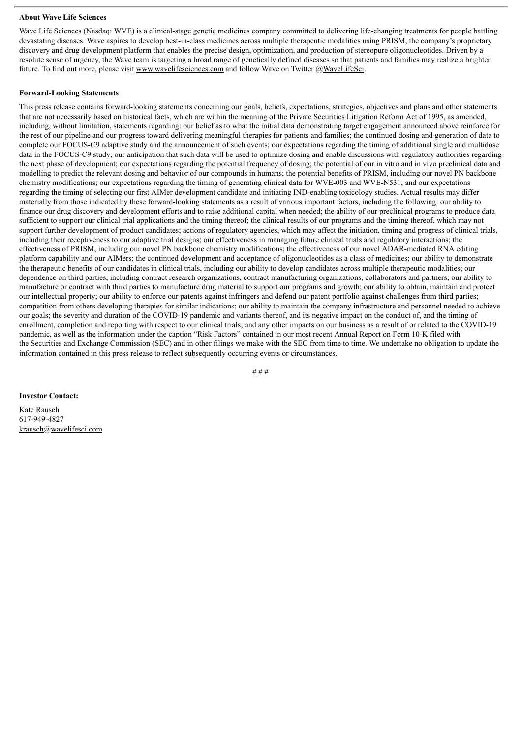#### **About Wave Life Sciences**

Wave Life Sciences (Nasdaq: WVE) is a clinical-stage genetic medicines company committed to delivering life-changing treatments for people battling devastating diseases. Wave aspires to develop best-in-class medicines across multiple therapeutic modalities using PRISM, the company's proprietary discovery and drug development platform that enables the precise design, optimization, and production of stereopure oligonucleotides. Driven by a resolute sense of urgency, the Wave team is targeting a broad range of genetically defined diseases so that patients and families may realize a brighter future. To find out more, please visit www.wavelifesciences.com and follow Wave on Twitter @WaveLifeSci.

#### **Forward-Looking Statements**

This press release contains forward-looking statements concerning our goals, beliefs, expectations, strategies, objectives and plans and other statements that are not necessarily based on historical facts, which are within the meaning of the Private Securities Litigation Reform Act of 1995, as amended, including, without limitation, statements regarding: our belief as to what the initial data demonstrating target engagement announced above reinforce for the rest of our pipeline and our progress toward delivering meaningful therapies for patients and families; the continued dosing and generation of data to complete our FOCUS-C9 adaptive study and the announcement of such events; our expectations regarding the timing of additional single and multidose data in the FOCUS-C9 study; our anticipation that such data will be used to optimize dosing and enable discussions with regulatory authorities regarding the next phase of development; our expectations regarding the potential frequency of dosing; the potential of our in vitro and in vivo preclinical data and modelling to predict the relevant dosing and behavior of our compounds in humans; the potential benefits of PRISM, including our novel PN backbone chemistry modifications; our expectations regarding the timing of generating clinical data for WVE-003 and WVE-N531; and our expectations regarding the timing of selecting our first AIMer development candidate and initiating IND-enabling toxicology studies. Actual results may differ materially from those indicated by these forward-looking statements as a result of various important factors, including the following: our ability to finance our drug discovery and development efforts and to raise additional capital when needed; the ability of our preclinical programs to produce data sufficient to support our clinical trial applications and the timing thereof; the clinical results of our programs and the timing thereof, which may not support further development of product candidates; actions of regulatory agencies, which may affect the initiation, timing and progress of clinical trials, including their receptiveness to our adaptive trial designs; our effectiveness in managing future clinical trials and regulatory interactions; the effectiveness of PRISM, including our novel PN backbone chemistry modifications; the effectiveness of our novel ADAR-mediated RNA editing platform capability and our AIMers; the continued development and acceptance of oligonucleotides as a class of medicines; our ability to demonstrate the therapeutic benefits of our candidates in clinical trials, including our ability to develop candidates across multiple therapeutic modalities; our dependence on third parties, including contract research organizations, contract manufacturing organizations, collaborators and partners; our ability to manufacture or contract with third parties to manufacture drug material to support our programs and growth; our ability to obtain, maintain and protect our intellectual property; our ability to enforce our patents against infringers and defend our patent portfolio against challenges from third parties; competition from others developing therapies for similar indications; our ability to maintain the company infrastructure and personnel needed to achieve our goals; the severity and duration of the COVID-19 pandemic and variants thereof, and its negative impact on the conduct of, and the timing of enrollment, completion and reporting with respect to our clinical trials; and any other impacts on our business as a result of or related to the COVID-19 pandemic, as well as the information under the caption "Risk Factors" contained in our most recent Annual Report on Form 10-K filed with the Securities and Exchange Commission (SEC) and in other filings we make with the SEC from time to time. We undertake no obligation to update the information contained in this press release to reflect subsequently occurring events or circumstances.

# # #

#### **Investor Contact:**

Kate Rausch 617-949-4827 krausch@wavelifesci.com